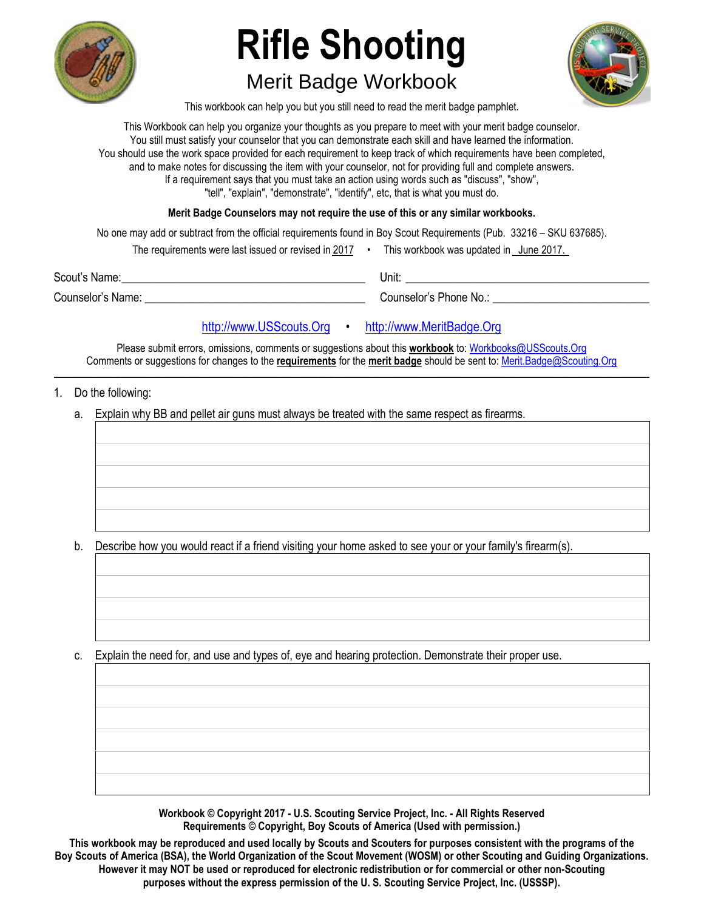

# **Rifle Shooting**

## Merit Badge Workbook



This workbook can help you but you still need to read the merit badge pamphlet.

This Workbook can help you organize your thoughts as you prepare to meet with your merit badge counselor. You still must satisfy your counselor that you can demonstrate each skill and have learned the information. You should use the work space provided for each requirement to keep track of which requirements have been completed, and to make notes for discussing the item with your counselor, not for providing full and complete answers. If a requirement says that you must take an action using words such as "discuss", "show", "tell", "explain", "demonstrate", "identify", etc, that is what you must do.

**Merit Badge Counselors may not require the use of this or any similar workbooks.**

No one may add or subtract from the official requirements found in Boy Scout Requirements (Pub. 33216 – SKU 637685).

| The requirements were last issued or revised in 2017 |  | This workbook was updated in June 2017. |  |
|------------------------------------------------------|--|-----------------------------------------|--|
|------------------------------------------------------|--|-----------------------------------------|--|

Scout's Name: \_\_\_\_\_\_\_\_\_\_\_\_\_\_\_\_\_\_\_\_\_\_\_\_\_\_\_\_\_\_\_\_\_\_\_\_\_\_\_\_\_\_ Unit: \_\_\_\_\_\_\_\_\_\_\_\_\_\_\_\_\_\_\_\_\_\_\_\_\_\_\_\_\_\_\_\_\_\_\_\_\_\_\_\_\_\_

Counselor's Name: \_\_\_\_\_\_\_\_\_\_\_\_\_\_\_\_\_\_\_\_\_\_\_\_\_\_\_\_\_\_\_\_\_\_\_\_\_\_ Counselor's Phone No.: \_\_\_\_\_\_\_\_\_\_\_\_\_\_\_\_\_\_\_\_\_\_\_\_\_\_\_

### [http://www.USScouts.Org](http://www.usscouts.org/) • [http://www.MeritBadge.Org](http://www.meritbadge.org/)

Please submit errors, omissions, comments or suggestions about this **workbook** to: [Workbooks@USScouts.Org](mailto:Workbooks@usscouts.org?subject=Merit%20Badge%20Workbooks) Comments or suggestions for changes to the **requirements** for the **merit badge** should be sent to: [Merit.Badge@Scouting.Org](mailto:merit.badge@scouting.org) *\_\_\_\_\_\_\_\_\_\_\_\_\_\_\_\_\_\_\_\_\_\_\_\_\_\_\_\_\_\_\_\_\_\_\_\_\_\_\_\_\_\_\_\_\_\_\_\_\_\_\_\_\_\_\_\_\_\_\_\_\_\_\_\_\_\_\_\_\_\_\_\_\_\_\_\_\_\_\_\_\_\_\_\_\_\_\_\_\_\_\_\_\_\_\_\_\_\_\_\_\_\_\_\_\_\_\_\_\_\_\_\_\_\_\_\_\_\_\_\_\_\_\_\_\_\_\_\_\_\_\_\_\_\_\_\_\_\_\_\_\_\_* 

- 1. Do the following:
	- a. Explain why BB and pellet air guns must always be treated with the same respect as firearms.

b. Describe how you would react if a friend visiting your home asked to see your or your family's firearm(s).

c. Explain the need for, and use and types of, eye and hearing protection. Demonstrate their proper use.

**Workbook © Copyright 2017 - U.S. Scouting Service Project, Inc. - All Rights Reserved Requirements © Copyright, Boy Scouts of America (Used with permission.)** 

**This workbook may be reproduced and used locally by Scouts and Scouters for purposes consistent with the programs of the Boy Scouts of America (BSA), the World Organization of the Scout Movement (WOSM) or other Scouting and Guiding Organizations. However it may NOT be used or reproduced for electronic redistribution or for commercial or other non-Scouting purposes without the express permission of the U. S. Scouting Service Project, Inc. (USSSP).**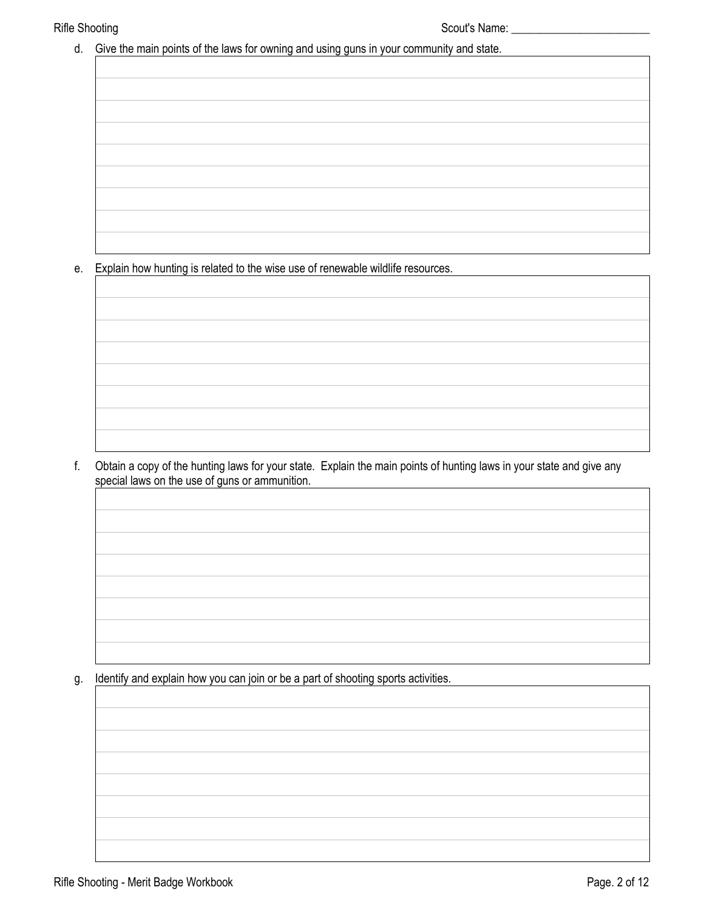d. Give the main points of the laws for owning and using guns in your community and state.

e. Explain how hunting is related to the wise use of renewable wildlife resources.

f. Obtain a copy of the hunting laws for your state. Explain the main points of hunting laws in your state and give any special laws on the use of guns or ammunition.

g. Identify and explain how you can join or be a part of shooting sports activities.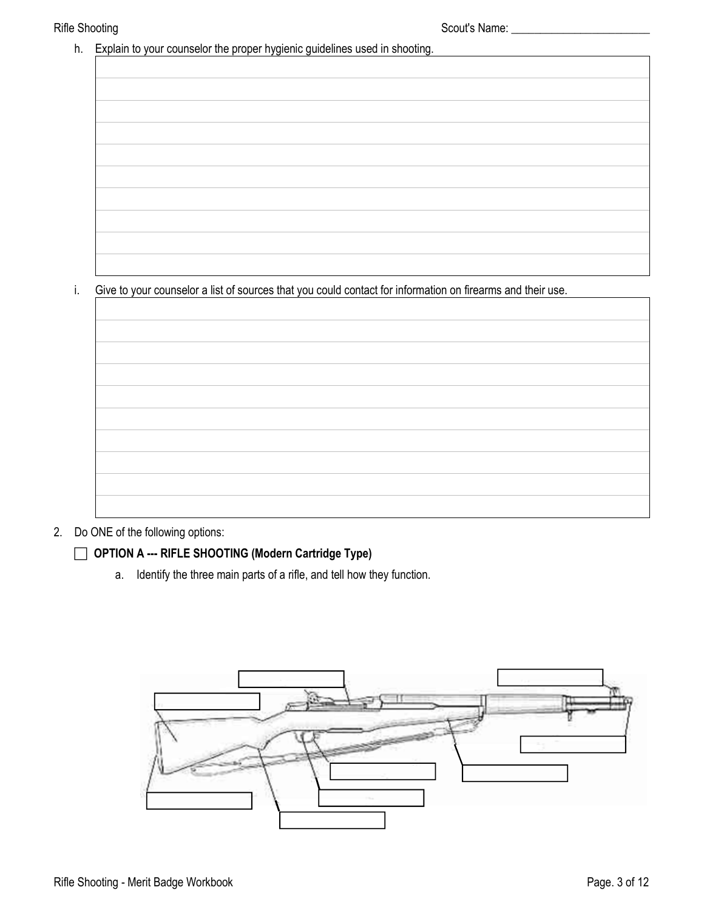h. Explain to your counselor the proper hygienic guidelines used in shooting.

i. Give to your counselor a list of sources that you could contact for information on firearms and their use.



#### 2. Do ONE of the following options:

#### **OPTION A --- RIFLE SHOOTING (Modern Cartridge Type)**

a. Identify the three main parts of a rifle, and tell how they function.

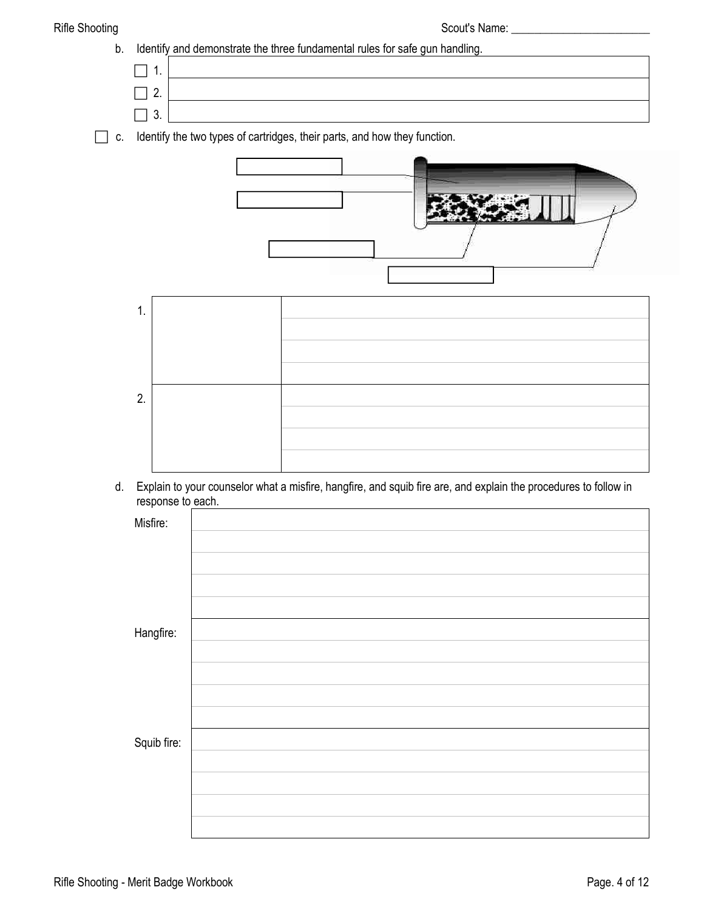

 $\Box$  c. Identify the two types of cartridges, their parts, and how they function.





 d. Explain to your counselor what a misfire, hangfire, and squib fire are, and explain the procedures to follow in response to each.

| Misfire:    |  |
|-------------|--|
|             |  |
|             |  |
|             |  |
|             |  |
| Hangfire:   |  |
|             |  |
|             |  |
|             |  |
|             |  |
| Squib fire: |  |
|             |  |
|             |  |
|             |  |
|             |  |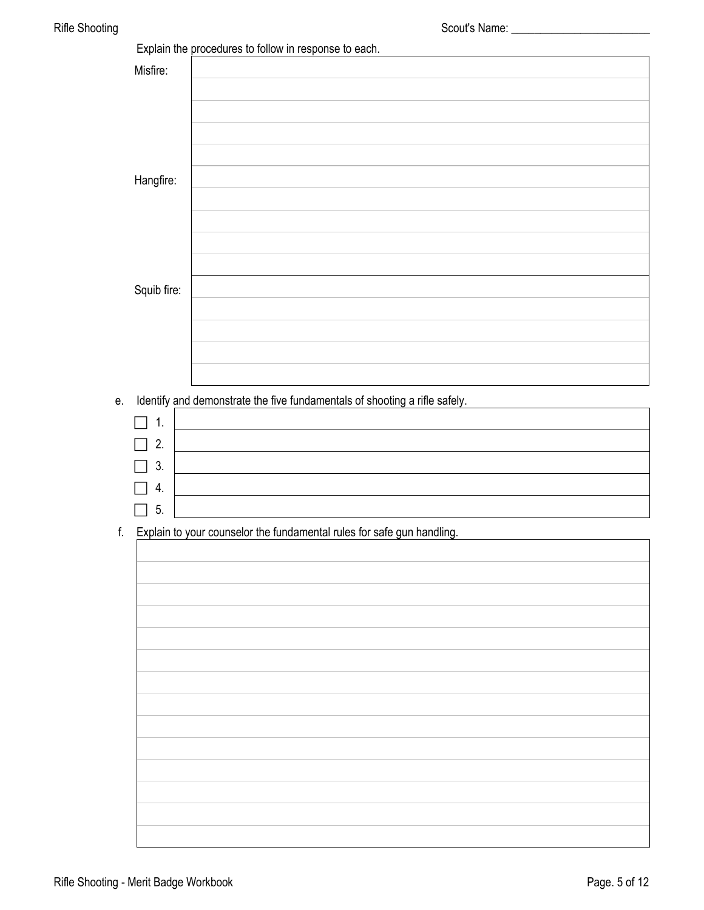|                | Explain the procedures to follow in response to each.                      |
|----------------|----------------------------------------------------------------------------|
| Misfire:       |                                                                            |
|                |                                                                            |
| Hangfire:      |                                                                            |
|                |                                                                            |
|                |                                                                            |
| Squib fire:    |                                                                            |
|                |                                                                            |
|                |                                                                            |
| е.             | Identify and demonstrate the five fundamentals of shooting a rifle safely. |
| $\mathbf{1}$ . |                                                                            |
| 2.             |                                                                            |
| 3.             |                                                                            |
| 4.             |                                                                            |
| 5.             |                                                                            |

f. Explain to your counselor the fundamental rules for safe gun handling.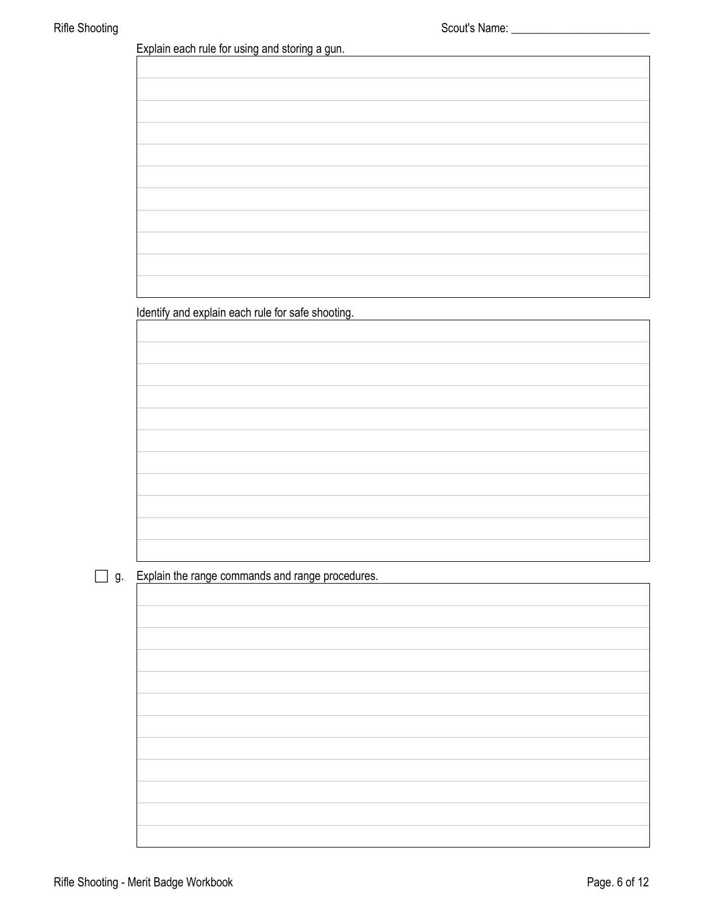Explain each rule for using and storing a gun.

Identify and explain each rule for safe shooting.

### g. Explain the range commands and range procedures.

 $\overline{\phantom{a}}$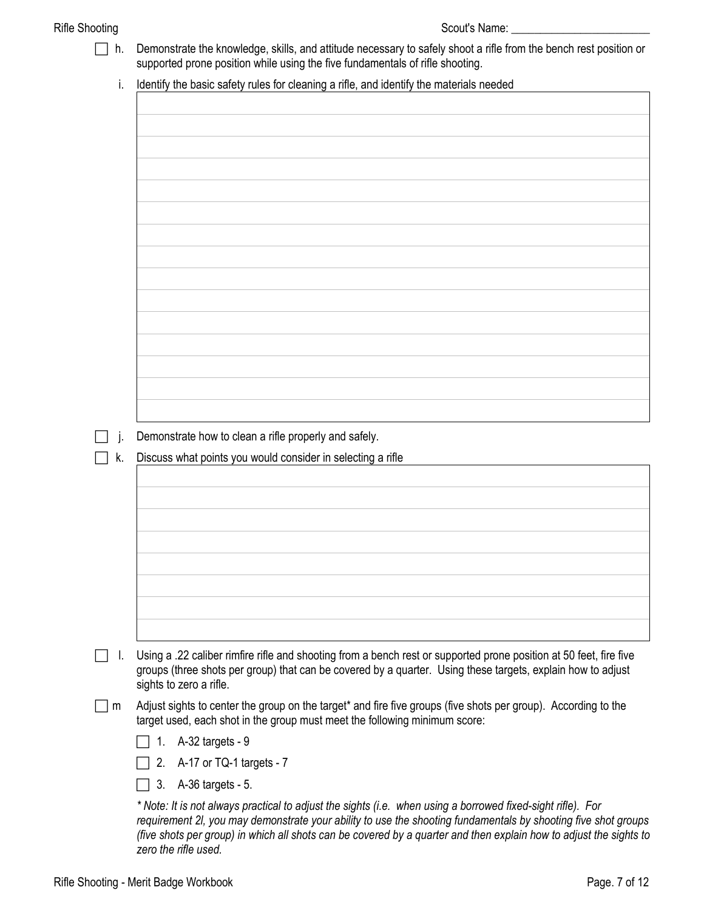| h. | Demonstrate the knowledge, skills, and attitude necessary to safely shoot a rifle from the bench rest position or<br>supported prone position while using the five fundamentals of rifle shooting.                                                           |
|----|--------------------------------------------------------------------------------------------------------------------------------------------------------------------------------------------------------------------------------------------------------------|
| İ. | Identify the basic safety rules for cleaning a rifle, and identify the materials needed                                                                                                                                                                      |
|    |                                                                                                                                                                                                                                                              |
|    |                                                                                                                                                                                                                                                              |
|    |                                                                                                                                                                                                                                                              |
|    |                                                                                                                                                                                                                                                              |
|    |                                                                                                                                                                                                                                                              |
|    |                                                                                                                                                                                                                                                              |
|    |                                                                                                                                                                                                                                                              |
|    |                                                                                                                                                                                                                                                              |
|    |                                                                                                                                                                                                                                                              |
|    |                                                                                                                                                                                                                                                              |
|    |                                                                                                                                                                                                                                                              |
|    |                                                                                                                                                                                                                                                              |
|    |                                                                                                                                                                                                                                                              |
|    |                                                                                                                                                                                                                                                              |
|    |                                                                                                                                                                                                                                                              |
|    |                                                                                                                                                                                                                                                              |
|    | Demonstrate how to clean a rifle properly and safely.                                                                                                                                                                                                        |
| k. | Discuss what points you would consider in selecting a rifle                                                                                                                                                                                                  |
|    |                                                                                                                                                                                                                                                              |
|    |                                                                                                                                                                                                                                                              |
|    |                                                                                                                                                                                                                                                              |
|    |                                                                                                                                                                                                                                                              |
|    |                                                                                                                                                                                                                                                              |
|    |                                                                                                                                                                                                                                                              |
|    |                                                                                                                                                                                                                                                              |
|    |                                                                                                                                                                                                                                                              |
|    |                                                                                                                                                                                                                                                              |
| ı. | Using a .22 caliber rimfire rifle and shooting from a bench rest or supported prone position at 50 feet, fire five<br>groups (three shots per group) that can be covered by a quarter. Using these targets, explain how to adjust<br>sights to zero a rifle. |
| m  | Adjust sights to center the group on the target* and fire five groups (five shots per group). According to the<br>target used, each shot in the group must meet the following minimum score:                                                                 |
|    | A-32 targets - 9<br>1.                                                                                                                                                                                                                                       |
|    | A-17 or TQ-1 targets - 7<br>2.                                                                                                                                                                                                                               |
|    | A-36 targets - 5.<br>3.                                                                                                                                                                                                                                      |
|    | * Note: It is not always practical to adjust the sights (i.e. when using a borrowed fixed-sight rifle). For                                                                                                                                                  |
|    | requirement 2I, you may demonstrate your ability to use the shooting fundamentals by shooting five shot groups                                                                                                                                               |

*(five shots per group) in which all shots can be covered by a quarter and then explain how to adjust the sights to* 

*zero the rifle used.*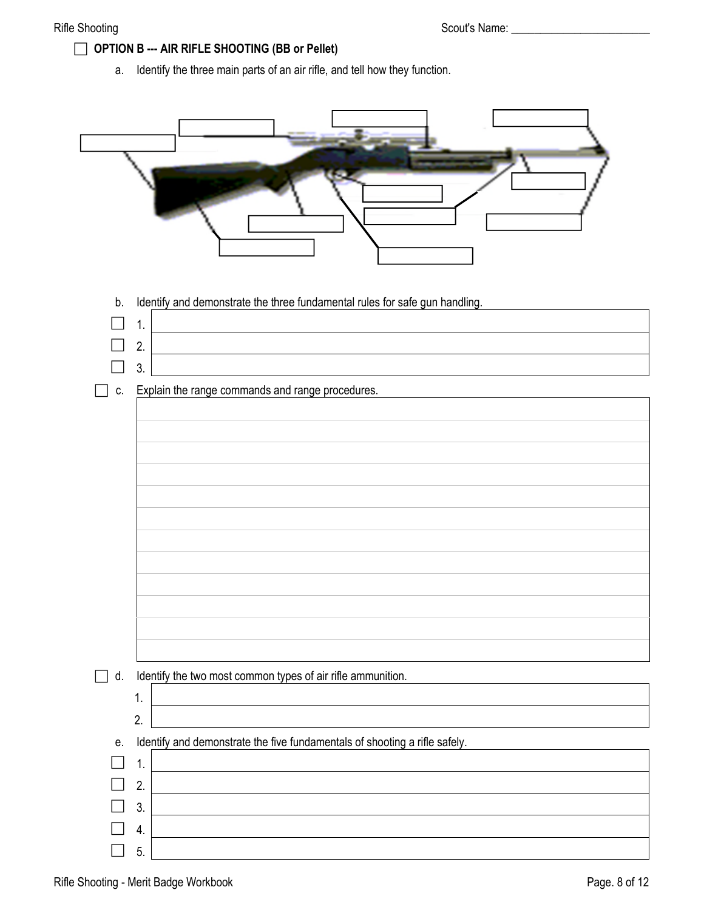### **OPTION B --- AIR RIFLE SHOOTING (BB or Pellet)**

a. Identify the three main parts of an air rifle, and tell how they function.

| Identify and demonstrate the three fundamental rules for safe gun handling.<br>b.<br>1.<br>2. |
|-----------------------------------------------------------------------------------------------|
| 3.<br>Explain the range commands and range procedures.<br>C.                                  |
|                                                                                               |
|                                                                                               |
|                                                                                               |
|                                                                                               |
|                                                                                               |
|                                                                                               |
| Identify the two most common types of air rifle ammunition.<br>d.<br>a s                      |
| 1.<br>2.                                                                                      |
| Identify and demonstrate the five fundamentals of shooting a rifle safely.<br>е.              |
| 1.                                                                                            |
| 2.                                                                                            |
| 3.                                                                                            |
| 4.                                                                                            |
| 5.                                                                                            |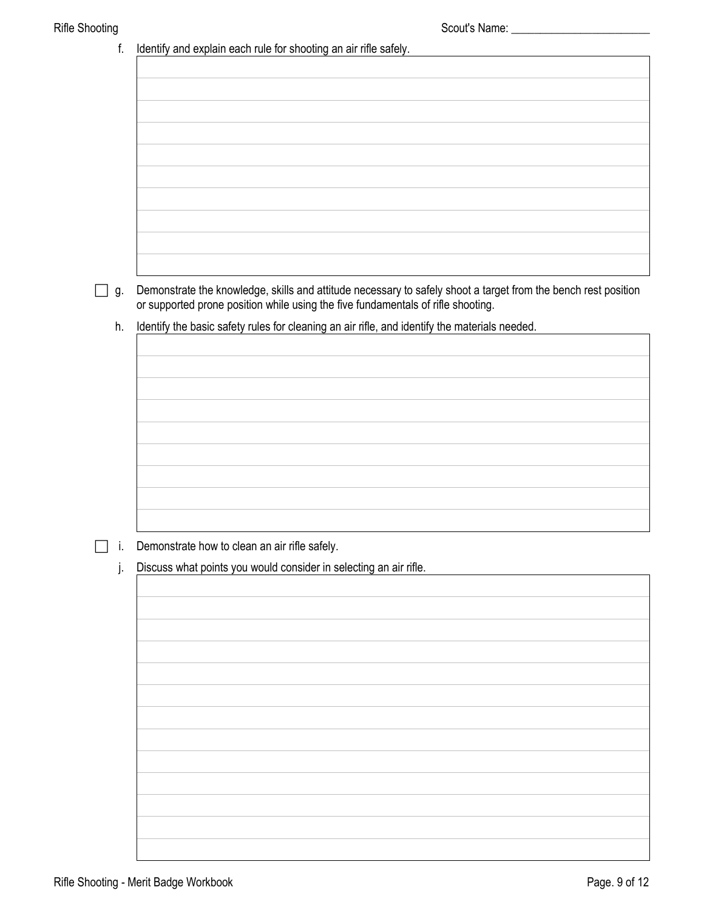| <b>Rifle Shooting</b> |                                                                                                                                                                                                    |
|-----------------------|----------------------------------------------------------------------------------------------------------------------------------------------------------------------------------------------------|
| f.                    | Identify and explain each rule for shooting an air rifle safely.                                                                                                                                   |
|                       |                                                                                                                                                                                                    |
|                       |                                                                                                                                                                                                    |
|                       |                                                                                                                                                                                                    |
|                       |                                                                                                                                                                                                    |
|                       |                                                                                                                                                                                                    |
|                       |                                                                                                                                                                                                    |
|                       |                                                                                                                                                                                                    |
|                       |                                                                                                                                                                                                    |
|                       |                                                                                                                                                                                                    |
|                       |                                                                                                                                                                                                    |
|                       |                                                                                                                                                                                                    |
| $\Box$ g.             | Demonstrate the knowledge, skills and attitude necessary to safely shoot a target from the bench rest position<br>or supported prone position while using the five fundamentals of rifle shooting. |
| h.                    | Identify the basic safety rules for cleaning an air rifle, and identify the materials needed.                                                                                                      |
|                       |                                                                                                                                                                                                    |
|                       |                                                                                                                                                                                                    |
|                       |                                                                                                                                                                                                    |
|                       |                                                                                                                                                                                                    |
|                       |                                                                                                                                                                                                    |
|                       |                                                                                                                                                                                                    |
|                       |                                                                                                                                                                                                    |
|                       |                                                                                                                                                                                                    |
|                       |                                                                                                                                                                                                    |
|                       |                                                                                                                                                                                                    |
| j,                    | Demonstrate how to clean an air rifle safely.                                                                                                                                                      |
| j.                    | Discuss what points you would consider in selecting an air rifle.                                                                                                                                  |
|                       |                                                                                                                                                                                                    |
|                       |                                                                                                                                                                                                    |
|                       |                                                                                                                                                                                                    |
|                       |                                                                                                                                                                                                    |
|                       |                                                                                                                                                                                                    |
|                       |                                                                                                                                                                                                    |
|                       |                                                                                                                                                                                                    |
|                       |                                                                                                                                                                                                    |
|                       |                                                                                                                                                                                                    |
|                       |                                                                                                                                                                                                    |
|                       |                                                                                                                                                                                                    |
|                       |                                                                                                                                                                                                    |
|                       |                                                                                                                                                                                                    |
|                       |                                                                                                                                                                                                    |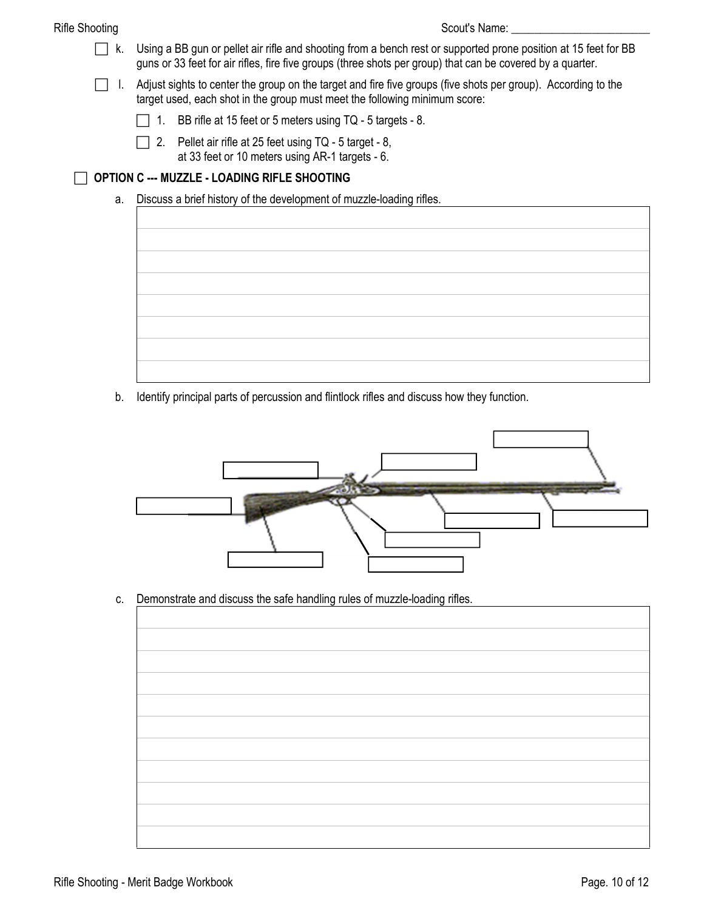- k. Using a BB gun or pellet air rifle and shooting from a bench rest or supported prone position at 15 feet for BB guns or 33 feet for air rifles, fire five groups (three shots per group) that can be covered by a quarter.
- I. Adjust sights to center the group on the target and fire five groups (five shots per group). According to the target used, each shot in the group must meet the following minimum score:
	- 1. BB rifle at 15 feet or 5 meters using  $TQ 5$  targets 8.
	- 2. Pellet air rifle at 25 feet using  $TQ 5$  target 8, at 33 feet or 10 meters using AR-1 targets - 6.

### **OPTION C --- MUZZLE - LOADING RIFLE SHOOTING**

a. Discuss a brief history of the development of muzzle-loading rifles.



b. Identify principal parts of percussion and flintlock rifles and discuss how they function.



c. Demonstrate and discuss the safe handling rules of muzzle-loading rifles.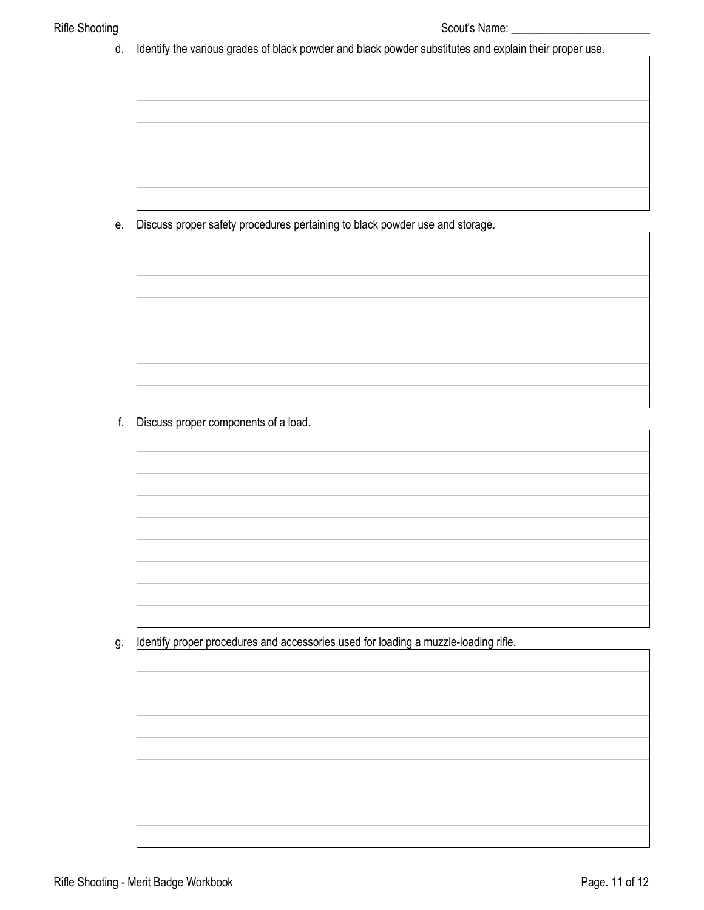d. Identify the various grades of black powder and black powder substitutes and explain their proper use.

e. Discuss proper safety procedures pertaining to black powder use and storage.

f. Discuss proper components of a load.

g. Identify proper procedures and accessories used for loading a muzzle-loading rifle.